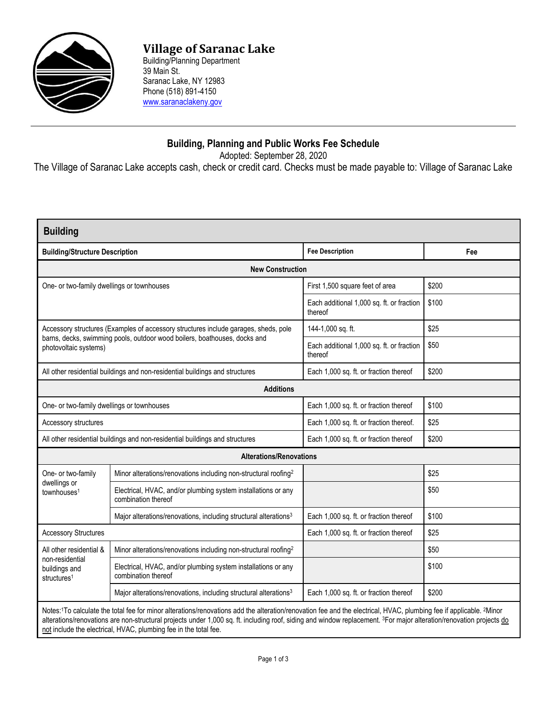

## **Village of Saranac Lake**

Building/Planning Department 39 Main St. Saranac Lake, NY 12983 Phone (518) 891-4150 [www.saranaclakeny.gov](http://www.saranaclakeny.gov/)

## **Building, Planning and Public Works Fee Schedule**

Adopted: September 28, 2020

The Village of Saranac Lake accepts cash, check or credit card. Checks must be made payable to: Village of Saranac Lake

| <b>Building</b>                                                                                                                                                                           |                                                                                      |                                                      |       |  |  |
|-------------------------------------------------------------------------------------------------------------------------------------------------------------------------------------------|--------------------------------------------------------------------------------------|------------------------------------------------------|-------|--|--|
| <b>Building/Structure Description</b>                                                                                                                                                     |                                                                                      | <b>Fee Description</b>                               | Fee   |  |  |
| <b>New Construction</b>                                                                                                                                                                   |                                                                                      |                                                      |       |  |  |
| One- or two-family dwellings or townhouses                                                                                                                                                |                                                                                      | First 1,500 square feet of area                      | \$200 |  |  |
|                                                                                                                                                                                           |                                                                                      | Each additional 1,000 sq. ft. or fraction<br>thereof | \$100 |  |  |
| Accessory structures (Examples of accessory structures include garages, sheds, pole<br>barns, decks, swimming pools, outdoor wood boilers, boathouses, docks and<br>photovoltaic systems) |                                                                                      | 144-1,000 sq. ft.                                    | \$25  |  |  |
|                                                                                                                                                                                           |                                                                                      | Each additional 1,000 sq. ft. or fraction<br>thereof | \$50  |  |  |
| All other residential buildings and non-residential buildings and structures                                                                                                              |                                                                                      | Each 1,000 sq. ft. or fraction thereof               | \$200 |  |  |
| <b>Additions</b>                                                                                                                                                                          |                                                                                      |                                                      |       |  |  |
| One- or two-family dwellings or townhouses                                                                                                                                                |                                                                                      | Each 1,000 sq. ft. or fraction thereof               | \$100 |  |  |
| Accessory structures                                                                                                                                                                      |                                                                                      | Each 1,000 sq. ft. or fraction thereof.              | \$25  |  |  |
| All other residential buildings and non-residential buildings and structures                                                                                                              |                                                                                      | Each 1,000 sq. ft. or fraction thereof               | \$200 |  |  |
| <b>Alterations/Renovations</b>                                                                                                                                                            |                                                                                      |                                                      |       |  |  |
| One- or two-family                                                                                                                                                                        | Minor alterations/renovations including non-structural roofing <sup>2</sup>          |                                                      | \$25  |  |  |
| dwellings or<br>townhouses <sup>1</sup>                                                                                                                                                   | Electrical, HVAC, and/or plumbing system installations or any<br>combination thereof |                                                      | \$50  |  |  |
|                                                                                                                                                                                           | Major alterations/renovations, including structural alterations <sup>3</sup>         | Each 1,000 sq. ft. or fraction thereof               | \$100 |  |  |
| <b>Accessory Structures</b>                                                                                                                                                               |                                                                                      | Each 1,000 sq. ft. or fraction thereof               | \$25  |  |  |
| All other residential &<br>non-residential<br>buildings and<br>structures <sup>1</sup>                                                                                                    | Minor alterations/renovations including non-structural roofing <sup>2</sup>          |                                                      | \$50  |  |  |
|                                                                                                                                                                                           | Electrical, HVAC, and/or plumbing system installations or any<br>combination thereof |                                                      | \$100 |  |  |
|                                                                                                                                                                                           | Major alterations/renovations, including structural alterations <sup>3</sup>         | Each 1,000 sq. ft. or fraction thereof               | \$200 |  |  |
| Notes: 1To calculate the total fee for minor alterations/renovations add the alteration/renovation fee and the electrical, HVAC, plumbing fee if applicable. 2Minor                       |                                                                                      |                                                      |       |  |  |

alterations/renovations are non-structural projects under 1,000 sq. ft. including roof, siding and window replacement. <sup>3</sup>For major alteration/renovation projects do not include the electrical, HVAC, plumbing fee in the total fee.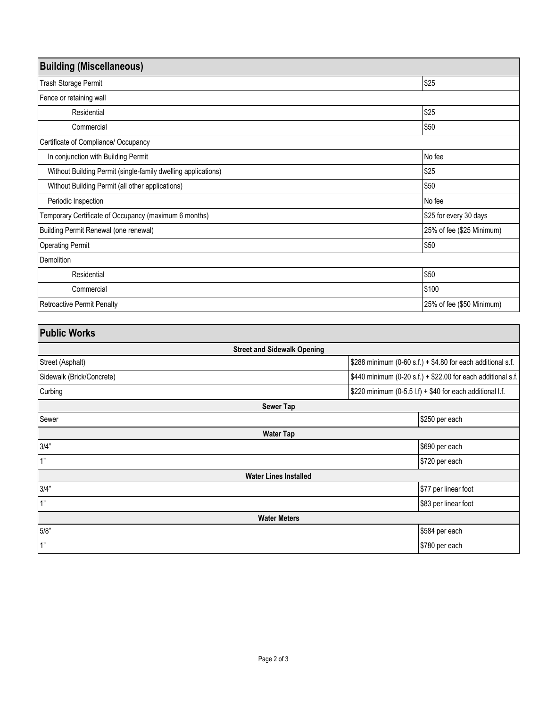| <b>Building (Miscellaneous)</b>                               |                           |  |  |  |
|---------------------------------------------------------------|---------------------------|--|--|--|
| Trash Storage Permit                                          | \$25                      |  |  |  |
| Fence or retaining wall                                       |                           |  |  |  |
| Residential                                                   | \$25                      |  |  |  |
| Commercial                                                    | \$50                      |  |  |  |
| Certificate of Compliance/ Occupancy                          |                           |  |  |  |
| In conjunction with Building Permit                           | No fee                    |  |  |  |
| Without Building Permit (single-family dwelling applications) | \$25                      |  |  |  |
| Without Building Permit (all other applications)              | \$50                      |  |  |  |
| Periodic Inspection                                           | No fee                    |  |  |  |
| Temporary Certificate of Occupancy (maximum 6 months)         | \$25 for every 30 days    |  |  |  |
| Building Permit Renewal (one renewal)                         | 25% of fee (\$25 Minimum) |  |  |  |
| <b>Operating Permit</b>                                       | \$50                      |  |  |  |
| Demolition                                                    |                           |  |  |  |
| Residential                                                   | \$50                      |  |  |  |
| Commercial                                                    | \$100                     |  |  |  |
| <b>Retroactive Permit Penalty</b>                             | 25% of fee (\$50 Minimum) |  |  |  |

| <b>Public Works</b>                |                                                              |  |  |  |  |
|------------------------------------|--------------------------------------------------------------|--|--|--|--|
| <b>Street and Sidewalk Opening</b> |                                                              |  |  |  |  |
| Street (Asphalt)                   | \$288 minimum (0-60 s.f.) + \$4.80 for each additional s.f.  |  |  |  |  |
| Sidewalk (Brick/Concrete)          | \$440 minimum (0-20 s.f.) + \$22.00 for each additional s.f. |  |  |  |  |
| Curbing                            | \$220 minimum (0-5.5 l.f) + \$40 for each additional l.f.    |  |  |  |  |
|                                    | <b>Sewer Tap</b>                                             |  |  |  |  |
| Sewer                              | \$250 per each                                               |  |  |  |  |
|                                    | <b>Water Tap</b>                                             |  |  |  |  |
| 3/4"                               | \$690 per each                                               |  |  |  |  |
| 1"                                 | \$720 per each                                               |  |  |  |  |
| <b>Water Lines Installed</b>       |                                                              |  |  |  |  |
| 3/4"                               | \$77 per linear foot                                         |  |  |  |  |
| 1"                                 | \$83 per linear foot                                         |  |  |  |  |
| <b>Water Meters</b>                |                                                              |  |  |  |  |
| 5/8"                               | \$584 per each                                               |  |  |  |  |
| 1"                                 | \$780 per each                                               |  |  |  |  |